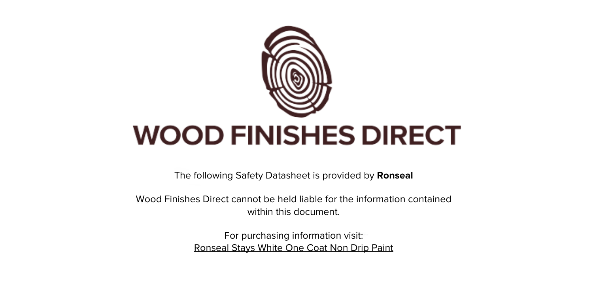

The following Safety Datasheet is provided by **Ronseal**

Wood Finishes Direct cannot be held liable for the information contained within this document

> For purchasing information visit: [Ronseal Stays White One Coat Non Drip Paint](https://www.wood-finishes-direct.com/product/ronseal-stays-white-one-coat-non-drip-paint)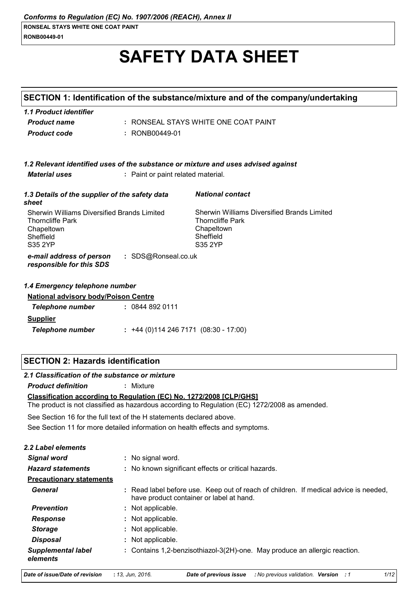### RONB00449-01

# **SAFETY DATA SHEET**

| SECTION 1: Identification of the substance/mixture and of the company/undertaking                            |                                    |                                                                                                                            |
|--------------------------------------------------------------------------------------------------------------|------------------------------------|----------------------------------------------------------------------------------------------------------------------------|
| 1.1 Product identifier<br><b>Product name</b><br><b>Product code</b>                                         | : RONB00449-01                     | : RONSEAL STAYS WHITE ONE COAT PAINT                                                                                       |
| <b>Material uses</b>                                                                                         | : Paint or paint related material. | 1.2 Relevant identified uses of the substance or mixture and uses advised against                                          |
| 1.3 Details of the supplier of the safety data<br>sheet                                                      |                                    | <b>National contact</b>                                                                                                    |
| Sherwin Williams Diversified Brands Limited<br><b>Thorncliffe Park</b><br>Chapeltown<br>Sheffield<br>S35 2YP |                                    | <b>Sherwin Williams Diversified Brands Limited</b><br><b>Thorncliffe Park</b><br>Chapeltown<br>Sheffield<br><b>S35 2YP</b> |
| e-mail address of person<br>responsible for this SDS                                                         | : SDS@Ronseal.co.uk                |                                                                                                                            |
| 1.4 Emergency telephone number                                                                               |                                    |                                                                                                                            |
| <b>National advisory body/Poison Centre</b><br><b>Telephone number</b>                                       | : 08448920111                      |                                                                                                                            |
| <b>Supplier</b><br><b>Telephone number</b>                                                                   |                                    | $: +44(0)1142467171(08:30 - 17:00)$                                                                                        |

# **SECTION 2: Hazards identification**

### 2.1 Classification of the substance or mixture

**Product definition** : Mixture

### Classification according to Regulation (EC) No. 1272/2008 [CLP/GHS]

The product is not classified as hazardous according to Regulation (EC) 1272/2008 as amended.

See Section 16 for the full text of the H statements declared above.

See Section 11 for more detailed information on health effects and symptoms.

| <b>2.2 Label elements</b>             |                                                                                                                                  |
|---------------------------------------|----------------------------------------------------------------------------------------------------------------------------------|
| Signal word                           | : No signal word.                                                                                                                |
| <b>Hazard statements</b>              | : No known significant effects or critical hazards.                                                                              |
| <b>Precautionary statements</b>       |                                                                                                                                  |
| General                               | : Read label before use. Keep out of reach of children. If medical advice is needed,<br>have product container or label at hand. |
| <b>Prevention</b>                     | : Not applicable.                                                                                                                |
| <b>Response</b>                       | : Not applicable.                                                                                                                |
| <b>Storage</b>                        | : Not applicable.                                                                                                                |
| <b>Disposal</b>                       | : Not applicable.                                                                                                                |
| <b>Supplemental label</b><br>elements | : Contains 1,2-benzisothiazol-3(2H)-one. May produce an allergic reaction.                                                       |

Date of issue/Date of revision : 13, Jun, 2016.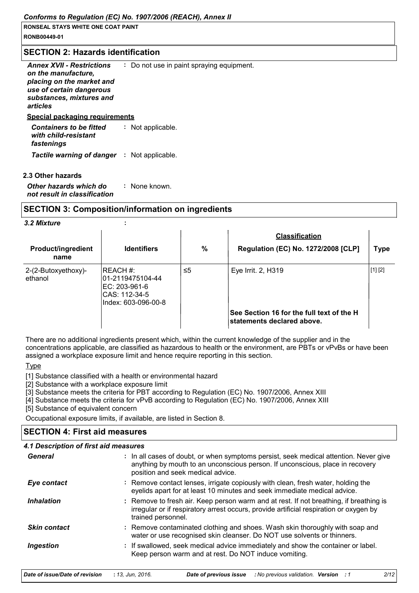### **SECTION 2: Hazards identification**

| <b>Annex XVII - Restrictions</b><br>on the manufacture,<br>placing on the market and<br>use of certain dangerous<br>substances, mixtures and<br>articles | : Do not use in paint spraying equipment |
|----------------------------------------------------------------------------------------------------------------------------------------------------------|------------------------------------------|
| Special packaging reguirements                                                                                                                           |                                          |
| <b>Containers to be fitted</b><br>with child-resistant<br>fastenings                                                                                     | : Not applicable.                        |
| <b>Tactile warning of danger : Not applicable.</b>                                                                                                       |                                          |

### 2.3 Other hazards

Other hazards which do : None known. not result in classification

### **SECTION 3: Composition/information on ingredients**

÷

#### 3.2 Mixture

| <b>Product/ingredient</b><br>name | <b>Identifiers</b>                                                                     | $\frac{0}{0}$ | <b>Classification</b><br>Regulation (EC) No. 1272/2008 [CLP]            | <b>Type</b> |
|-----------------------------------|----------------------------------------------------------------------------------------|---------------|-------------------------------------------------------------------------|-------------|
| 2-(2-Butoxyethoxy)-<br>ethanol    | IREACH #:<br>01-2119475104-44<br>EC: 203-961-6<br>CAS: 112-34-5<br>Index: 603-096-00-8 | ≤5            | Eye Irrit. 2, H319                                                      | [1] [2]     |
|                                   |                                                                                        |               | See Section 16 for the full text of the H<br>statements declared above. |             |

There are no additional ingredients present which, within the current knowledge of the supplier and in the concentrations applicable, are classified as hazardous to health or the environment, are PBTs or vPvBs or have been assigned a workplace exposure limit and hence require reporting in this section.

### **Type**

[1] Substance classified with a health or environmental hazard

[2] Substance with a workplace exposure limit

[3] Substance meets the criteria for PBT according to Regulation (EC) No. 1907/2006, Annex XIII

[4] Substance meets the criteria for vPvB according to Regulation (EC) No. 1907/2006, Annex XIII

[5] Substance of equivalent concern

Occupational exposure limits, if available, are listed in Section 8.

# **SECTION 4: First aid measures**

### 4.1 Description of first aid measures

| General                  | : In all cases of doubt, or when symptoms persist, seek medical attention. Never give<br>anything by mouth to an unconscious person. If unconscious, place in recovery<br>position and seek medical advice. |
|--------------------------|-------------------------------------------------------------------------------------------------------------------------------------------------------------------------------------------------------------|
| Eye contact              | : Remove contact lenses, irrigate copiously with clean, fresh water, holding the<br>eyelids apart for at least 10 minutes and seek immediate medical advice.                                                |
| <i><b>Inhalation</b></i> | : Remove to fresh air. Keep person warm and at rest. If not breathing, if breathing is<br>irregular or if respiratory arrest occurs, provide artificial respiration or oxygen by<br>trained personnel.      |
| <b>Skin contact</b>      | : Remove contaminated clothing and shoes. Wash skin thoroughly with soap and<br>water or use recognised skin cleanser. Do NOT use solvents or thinners.                                                     |
| Ingestion                | : If swallowed, seek medical advice immediately and show the container or label.<br>Keep person warm and at rest. Do NOT induce vomiting.                                                                   |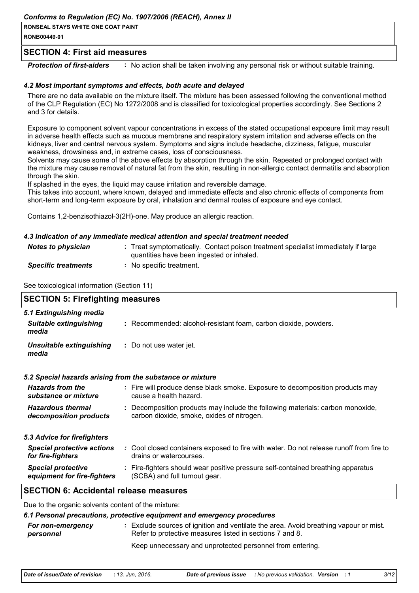RONB00449-01

### **SECTION 4: First aid measures**

**Protection of first-aiders** : No action shall be taken involving any personal risk or without suitable training.

### 4.2 Most important symptoms and effects, both acute and delayed

There are no data available on the mixture itself. The mixture has been assessed following the conventional method of the CLP Regulation (EC) No 1272/2008 and is classified for toxicological properties accordingly. See Sections 2 and 3 for details.

Exposure to component solvent vapour concentrations in excess of the stated occupational exposure limit may result in adverse health effects such as mucous membrane and respiratory system irritation and adverse effects on the kidneys, liver and central nervous system. Symptoms and signs include headache, dizziness, fatique, muscular weakness, drowsiness and, in extreme cases, loss of consciousness.

Solvents may cause some of the above effects by absorption through the skin. Repeated or prolonged contact with the mixture may cause removal of natural fat from the skin, resulting in non-allergic contact dermatitis and absorption through the skin.

If splashed in the eyes, the liquid may cause irritation and reversible damage.

This takes into account, where known, delayed and immediate effects and also chronic effects of components from short-term and long-term exposure by oral, inhalation and dermal routes of exposure and eye contact.

Contains 1,2-benzisothiazol-3(2H)-one. May produce an allergic reaction.

### 4.3 Indication of any immediate medical attention and special treatment needed

| Notes to physician         | : Treat symptomatically. Contact poison treatment specialist immediately if large<br>quantities have been ingested or inhaled. |
|----------------------------|--------------------------------------------------------------------------------------------------------------------------------|
| <b>Specific treatments</b> | : No specific treatment.                                                                                                       |

See toxicological information (Section 11)

| <b>SECTION 5: Firefighting measures</b>                           |                                                                                                                              |  |  |
|-------------------------------------------------------------------|------------------------------------------------------------------------------------------------------------------------------|--|--|
| 5.1 Extinguishing media<br><b>Suitable extinguishing</b><br>media | : Recommended: alcohol-resistant foam, carbon dioxide, powders.                                                              |  |  |
| <b>Unsuitable extinguishing</b><br>media                          | : Do not use water jet.                                                                                                      |  |  |
|                                                                   | 5.2 Special hazards arising from the substance or mixture                                                                    |  |  |
| <b>Hazards from the</b><br>substance or mixture                   | : Fire will produce dense black smoke. Exposure to decomposition products may<br>cause a health hazard.                      |  |  |
| <b>Hazardous thermal</b><br>decomposition products                | : Decomposition products may include the following materials: carbon monoxide,<br>carbon dioxide, smoke, oxides of nitrogen. |  |  |
| 5.3 Advice for firefighters                                       |                                                                                                                              |  |  |
| <b>Special protective actions</b><br>for fire-fighters            | : Cool closed containers exposed to fire with water. Do not release runoff from fire to<br>drains or watercourses.           |  |  |
| <b>Special protective</b><br>equipment for fire-fighters          | : Fire-fighters should wear positive pressure self-contained breathing apparatus<br>(SCBA) and full turnout gear.            |  |  |
| <b>SECTION 6: Accidental release measures</b>                     |                                                                                                                              |  |  |

Due to the organic solvents content of the mixture:

| 6.1 Personal precautions, protective equipment and emergency procedures |                                                                                                                                                   |                                                           |  |
|-------------------------------------------------------------------------|---------------------------------------------------------------------------------------------------------------------------------------------------|-----------------------------------------------------------|--|
| For non-emergency<br>personnel                                          | : Exclude sources of ignition and ventilate the area. Avoid breathing vapour or mist.<br>Refer to protective measures listed in sections 7 and 8. |                                                           |  |
|                                                                         |                                                                                                                                                   | Keep unnecessary and unprotected personnel from entering. |  |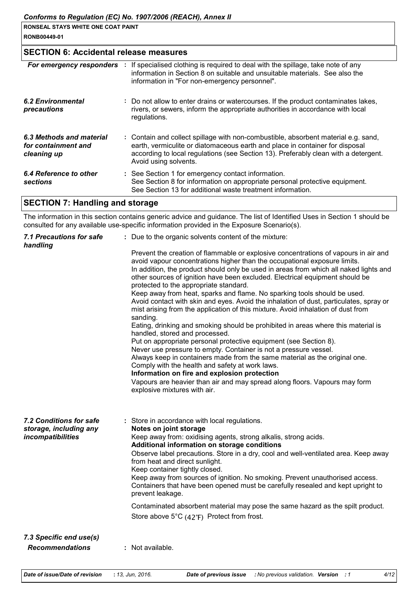| I RONSEAL STAYS WHITE ONE COAT PAINT |  |
|--------------------------------------|--|
| RONB00449-01                         |  |

# **SECTION 6: Accidental release measures**

| For emergency responders                                       | ÷ | If specialised clothing is required to deal with the spillage, take note of any<br>information in Section 8 on suitable and unsuitable materials. See also the<br>information in "For non-emergency personnel".                                                                    |
|----------------------------------------------------------------|---|------------------------------------------------------------------------------------------------------------------------------------------------------------------------------------------------------------------------------------------------------------------------------------|
| <b>6.2 Environmental</b><br>precautions                        |   | : Do not allow to enter drains or watercourses. If the product contaminates lakes,<br>rivers, or sewers, inform the appropriate authorities in accordance with local<br>regulations.                                                                                               |
| 6.3 Methods and material<br>for containment and<br>cleaning up |   | : Contain and collect spillage with non-combustible, absorbent material e.g. sand,<br>earth, vermiculite or diatomaceous earth and place in container for disposal<br>according to local regulations (see Section 13). Preferably clean with a detergent.<br>Avoid using solvents. |
| 6.4 Reference to other<br><b>sections</b>                      |   | : See Section 1 for emergency contact information.<br>See Section 8 for information on appropriate personal protective equipment.<br>See Section 13 for additional waste treatment information.                                                                                    |

# **SECTION 7: Handling and storage**

The information in this section contains generic advice and guidance. The list of Identified Uses in Section 1 should be consulted for any available use-specific information provided in the Exposure Scenario(s).

| <b>7.1 Precautions for safe</b><br>handling       | : Due to the organic solvents content of the mixture:                                                                                                                                                                                                                                                                                                                                                                                                           |  |  |
|---------------------------------------------------|-----------------------------------------------------------------------------------------------------------------------------------------------------------------------------------------------------------------------------------------------------------------------------------------------------------------------------------------------------------------------------------------------------------------------------------------------------------------|--|--|
|                                                   | Prevent the creation of flammable or explosive concentrations of vapours in air and<br>avoid vapour concentrations higher than the occupational exposure limits.<br>In addition, the product should only be used in areas from which all naked lights and<br>other sources of ignition have been excluded. Electrical equipment should be<br>protected to the appropriate standard.<br>Keep away from heat, sparks and flame. No sparking tools should be used. |  |  |
|                                                   | Avoid contact with skin and eyes. Avoid the inhalation of dust, particulates, spray or<br>mist arising from the application of this mixture. Avoid inhalation of dust from<br>sanding.                                                                                                                                                                                                                                                                          |  |  |
|                                                   | Eating, drinking and smoking should be prohibited in areas where this material is<br>handled, stored and processed.                                                                                                                                                                                                                                                                                                                                             |  |  |
|                                                   | Put on appropriate personal protective equipment (see Section 8).<br>Never use pressure to empty. Container is not a pressure vessel.                                                                                                                                                                                                                                                                                                                           |  |  |
|                                                   | Always keep in containers made from the same material as the original one.                                                                                                                                                                                                                                                                                                                                                                                      |  |  |
|                                                   | Comply with the health and safety at work laws.<br>Information on fire and explosion protection                                                                                                                                                                                                                                                                                                                                                                 |  |  |
|                                                   | Vapours are heavier than air and may spread along floors. Vapours may form<br>explosive mixtures with air.                                                                                                                                                                                                                                                                                                                                                      |  |  |
| 7.2 Conditions for safe<br>storage, including any | : Store in accordance with local regulations.<br>Notes on joint storage                                                                                                                                                                                                                                                                                                                                                                                         |  |  |
| incompatibilities                                 | Keep away from: oxidising agents, strong alkalis, strong acids.<br>Additional information on storage conditions                                                                                                                                                                                                                                                                                                                                                 |  |  |
|                                                   | Observe label precautions. Store in a dry, cool and well-ventilated area. Keep away<br>from heat and direct sunlight.<br>Keep container tightly closed.                                                                                                                                                                                                                                                                                                         |  |  |
|                                                   | Keep away from sources of ignition. No smoking. Prevent unauthorised access.<br>Containers that have been opened must be carefully resealed and kept upright to<br>prevent leakage.                                                                                                                                                                                                                                                                             |  |  |
|                                                   | Contaminated absorbent material may pose the same hazard as the spilt product.                                                                                                                                                                                                                                                                                                                                                                                  |  |  |
|                                                   | Store above 5°C (42°F) Protect from frost.                                                                                                                                                                                                                                                                                                                                                                                                                      |  |  |
| 7.3 Specific end use(s)                           |                                                                                                                                                                                                                                                                                                                                                                                                                                                                 |  |  |
| <b>Recommendations</b>                            | : Not available.                                                                                                                                                                                                                                                                                                                                                                                                                                                |  |  |

 $4/12$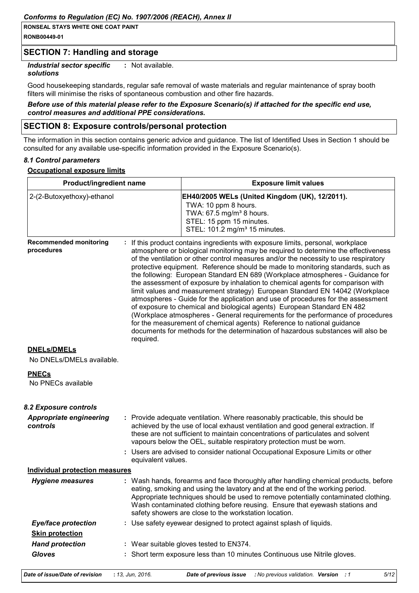# **SECTION 7: Handling and storage**

**Industrial sector specific** : Not available.

### solutions

Good housekeeping standards, regular safe removal of waste materials and regular maintenance of spray booth filters will minimise the risks of spontaneous combustion and other fire hazards.

### Before use of this material please refer to the Exposure Scenario(s) if attached for the specific end use, control measures and additional PPE considerations.

### **SECTION 8: Exposure controls/personal protection**

The information in this section contains generic advice and guidance. The list of Identified Uses in Section 1 should be consulted for any available use-specific information provided in the Exposure Scenario(s).

### 8.1 Control parameters

### **Occupational exposure limits**

| Product/ingredient name<br>2-(2-Butoxyethoxy)-ethanol |                    | <b>Exposure limit values</b>                                                                                                                                                                                                                                                                                                                                                                                                                                                                                                                                                                                                                                                                                                                                                                                                                                                                                                                                                                                          |  |
|-------------------------------------------------------|--------------------|-----------------------------------------------------------------------------------------------------------------------------------------------------------------------------------------------------------------------------------------------------------------------------------------------------------------------------------------------------------------------------------------------------------------------------------------------------------------------------------------------------------------------------------------------------------------------------------------------------------------------------------------------------------------------------------------------------------------------------------------------------------------------------------------------------------------------------------------------------------------------------------------------------------------------------------------------------------------------------------------------------------------------|--|
|                                                       |                    | EH40/2005 WELs (United Kingdom (UK), 12/2011).<br>TWA: 10 ppm 8 hours.<br>TWA: 67.5 mg/m <sup>3</sup> 8 hours.<br>STEL: 15 ppm 15 minutes.<br>STEL: 101.2 mg/m <sup>3</sup> 15 minutes.                                                                                                                                                                                                                                                                                                                                                                                                                                                                                                                                                                                                                                                                                                                                                                                                                               |  |
| <b>Recommended monitoring</b><br>procedures           | required.          | : If this product contains ingredients with exposure limits, personal, workplace<br>atmosphere or biological monitoring may be required to determine the effectiveness<br>of the ventilation or other control measures and/or the necessity to use respiratory<br>protective equipment. Reference should be made to monitoring standards, such as<br>the following: European Standard EN 689 (Workplace atmospheres - Guidance for<br>the assessment of exposure by inhalation to chemical agents for comparison with<br>limit values and measurement strategy) European Standard EN 14042 (Workplace<br>atmospheres - Guide for the application and use of procedures for the assessment<br>of exposure to chemical and biological agents) European Standard EN 482<br>(Workplace atmospheres - General requirements for the performance of procedures<br>for the measurement of chemical agents) Reference to national guidance<br>documents for methods for the determination of hazardous substances will also be |  |
| <b>DNELs/DMELs</b><br>No DNELs/DMELs available.       |                    |                                                                                                                                                                                                                                                                                                                                                                                                                                                                                                                                                                                                                                                                                                                                                                                                                                                                                                                                                                                                                       |  |
| <b>PNECs</b><br>No PNECs available                    |                    |                                                                                                                                                                                                                                                                                                                                                                                                                                                                                                                                                                                                                                                                                                                                                                                                                                                                                                                                                                                                                       |  |
| 8.2 Exposure controls                                 |                    |                                                                                                                                                                                                                                                                                                                                                                                                                                                                                                                                                                                                                                                                                                                                                                                                                                                                                                                                                                                                                       |  |
| <b>Appropriate engineering</b><br>controls            | equivalent values. | : Provide adequate ventilation. Where reasonably practicable, this should be<br>achieved by the use of local exhaust ventilation and good general extraction. If<br>these are not sufficient to maintain concentrations of particulates and solvent<br>vapours below the OEL, suitable respiratory protection must be worn.<br>: Users are advised to consider national Occupational Exposure Limits or other                                                                                                                                                                                                                                                                                                                                                                                                                                                                                                                                                                                                         |  |
| <b>Individual protection measures</b>                 |                    |                                                                                                                                                                                                                                                                                                                                                                                                                                                                                                                                                                                                                                                                                                                                                                                                                                                                                                                                                                                                                       |  |
| <b>Hygiene measures</b>                               |                    | : Wash hands, forearms and face thoroughly after handling chemical products, before<br>eating, smoking and using the lavatory and at the end of the working period.<br>Appropriate techniques should be used to remove potentially contaminated clothing.<br>Wash contaminated clothing before reusing. Ensure that eyewash stations and<br>safety showers are close to the workstation location.                                                                                                                                                                                                                                                                                                                                                                                                                                                                                                                                                                                                                     |  |
| <b>Eye/face protection</b>                            |                    | : Use safety eyewear designed to protect against splash of liquids.                                                                                                                                                                                                                                                                                                                                                                                                                                                                                                                                                                                                                                                                                                                                                                                                                                                                                                                                                   |  |
| <b>Skin protection</b>                                |                    |                                                                                                                                                                                                                                                                                                                                                                                                                                                                                                                                                                                                                                                                                                                                                                                                                                                                                                                                                                                                                       |  |
| <b>Hand protection</b>                                |                    | : Wear suitable gloves tested to EN374.                                                                                                                                                                                                                                                                                                                                                                                                                                                                                                                                                                                                                                                                                                                                                                                                                                                                                                                                                                               |  |
| <b>Gloves</b>                                         |                    | : Short term exposure less than 10 minutes Continuous use Nitrile gloves.                                                                                                                                                                                                                                                                                                                                                                                                                                                                                                                                                                                                                                                                                                                                                                                                                                                                                                                                             |  |
| Date of issue/Date of revision                        | : 13, Jun, 2016.   | 5/12<br><b>Date of previous issue</b> : No previous validation. Version : 1                                                                                                                                                                                                                                                                                                                                                                                                                                                                                                                                                                                                                                                                                                                                                                                                                                                                                                                                           |  |

|  |  |  | <b>Date of previous issue</b> : No previous validation. Version : 1 |  |  |  |
|--|--|--|---------------------------------------------------------------------|--|--|--|
|--|--|--|---------------------------------------------------------------------|--|--|--|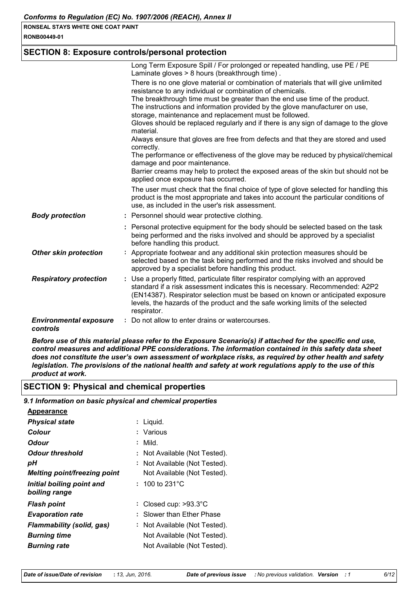RONB00449-01

# **SECTION 8: Exposure controls/personal protection**

|                                           | Long Term Exposure Spill / For prolonged or repeated handling, use PE / PE<br>Laminate gloves > 8 hours (breakthrough time).                                                                                                                                                                                                                         |
|-------------------------------------------|------------------------------------------------------------------------------------------------------------------------------------------------------------------------------------------------------------------------------------------------------------------------------------------------------------------------------------------------------|
|                                           | There is no one glove material or combination of materials that will give unlimited<br>resistance to any individual or combination of chemicals.                                                                                                                                                                                                     |
|                                           | The breakthrough time must be greater than the end use time of the product.<br>The instructions and information provided by the glove manufacturer on use,<br>storage, maintenance and replacement must be followed.                                                                                                                                 |
|                                           | Gloves should be replaced regularly and if there is any sign of damage to the glove<br>material.                                                                                                                                                                                                                                                     |
|                                           | Always ensure that gloves are free from defects and that they are stored and used<br>correctly.                                                                                                                                                                                                                                                      |
|                                           | The performance or effectiveness of the glove may be reduced by physical/chemical<br>damage and poor maintenance.                                                                                                                                                                                                                                    |
|                                           | Barrier creams may help to protect the exposed areas of the skin but should not be<br>applied once exposure has occurred.                                                                                                                                                                                                                            |
|                                           | The user must check that the final choice of type of glove selected for handling this<br>product is the most appropriate and takes into account the particular conditions of<br>use, as included in the user's risk assessment.                                                                                                                      |
| <b>Body protection</b>                    | : Personnel should wear protective clothing.                                                                                                                                                                                                                                                                                                         |
|                                           | : Personal protective equipment for the body should be selected based on the task<br>being performed and the risks involved and should be approved by a specialist<br>before handling this product.                                                                                                                                                  |
| <b>Other skin protection</b>              | : Appropriate footwear and any additional skin protection measures should be<br>selected based on the task being performed and the risks involved and should be<br>approved by a specialist before handling this product.                                                                                                                            |
| <b>Respiratory protection</b>             | : Use a properly fitted, particulate filter respirator complying with an approved<br>standard if a risk assessment indicates this is necessary. Recommended: A2P2<br>(EN14387). Respirator selection must be based on known or anticipated exposure<br>levels, the hazards of the product and the safe working limits of the selected<br>respirator. |
| <b>Environmental exposure</b><br>controls | Do not allow to enter drains or watercourses.                                                                                                                                                                                                                                                                                                        |

Before use of this material please refer to the Exposure Scenario(s) if attached for the specific end use, control measures and additional PPE considerations. The information contained in this safety data sheet does not constitute the user's own assessment of workplace risks, as required by other health and safety legislation. The provisions of the national health and safety at work regulations apply to the use of this product at work.

# **SECTION 9: Physical and chemical properties**

9.1 Information on basic physical and chemical properties

| <u>Appearance</u>                          |    |                                          |
|--------------------------------------------|----|------------------------------------------|
| <b>Physical state</b>                      |    | : Liquid.                                |
| Colour                                     |    | : Various                                |
| Odour                                      |    | Mild.                                    |
| Odour threshold                            |    | : Not Available (Not Tested).            |
| рH                                         | ι. | Not Available (Not Tested).              |
| <b>Melting point/freezing point</b>        |    | Not Available (Not Tested).              |
| Initial boiling point and<br>boiling range |    | $: 100 \text{ to } 231^{\circ} \text{C}$ |
| <b>Flash point</b>                         |    | : Closed cup: $>93.3^{\circ}$ C          |
| <b>Evaporation rate</b>                    |    | : Slower than Ether Phase                |
| <b>Flammability (solid, gas)</b>           | τ. | Not Available (Not Tested).              |
| <b>Burning time</b>                        |    | Not Available (Not Tested).              |
| <b>Burning rate</b>                        |    | Not Available (Not Tested).              |
|                                            |    |                                          |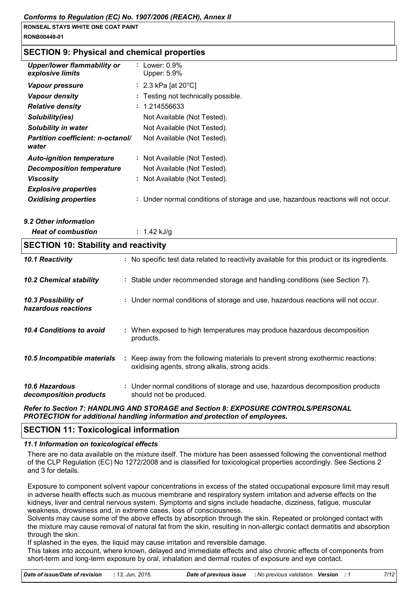## **SECTION 9: Physical and chemical properties**

| <b>Upper/lower flammability or</b><br>explosive limits | : Lower: $0.9\%$<br>Upper: 5.9%                                                   |
|--------------------------------------------------------|-----------------------------------------------------------------------------------|
| Vapour pressure                                        | : $2.3$ kPa [at 20 $^{\circ}$ C]                                                  |
| <b>Vapour density</b>                                  | : Testing not technically possible.                                               |
| <b>Relative density</b>                                | : 1.214556633                                                                     |
| Solubility(ies)                                        | Not Available (Not Tested).                                                       |
| Solubility in water                                    | Not Available (Not Tested).                                                       |
| <b>Partition coefficient: n-octanol/</b><br>water      | Not Available (Not Tested).                                                       |
| <b>Auto-ignition temperature</b>                       | : Not Available (Not Tested).                                                     |
| <b>Decomposition temperature</b>                       | Not Available (Not Tested).                                                       |
| <b>Viscosity</b>                                       | : Not Available (Not Tested).                                                     |
| <b>Explosive properties</b>                            |                                                                                   |
| <b>Oxidising properties</b>                            | : Under normal conditions of storage and use, hazardous reactions will not occur. |

9.2 Other information

**Heat of combustion** :  $1.42$  kJ/g

| <b>SECTION 10: Stability and reactivity</b>     |  |                                                                                                                                     |  |
|-------------------------------------------------|--|-------------------------------------------------------------------------------------------------------------------------------------|--|
| 10.1 Reactivity                                 |  | : No specific test data related to reactivity available for this product or its ingredients.                                        |  |
| 10.2 Chemical stability                         |  | : Stable under recommended storage and handling conditions (see Section 7).                                                         |  |
| 10.3 Possibility of<br>hazardous reactions      |  | : Under normal conditions of storage and use, hazardous reactions will not occur.                                                   |  |
| 10.4 Conditions to avoid                        |  | : When exposed to high temperatures may produce hazardous decomposition<br>products.                                                |  |
| 10.5 Incompatible materials                     |  | : Keep away from the following materials to prevent strong exothermic reactions:<br>oxidising agents, strong alkalis, strong acids. |  |
| <b>10.6 Hazardous</b><br>decomposition products |  | : Under normal conditions of storage and use, hazardous decomposition products<br>should not be produced.                           |  |

Refer to Section 7: HANDLING AND STORAGE and Section 8: EXPOSURE CONTROLS/PERSONAL PROTECTION for additional handling information and protection of employees.

### **SECTION 11: Toxicological information**

### 11.1 Information on toxicological effects

There are no data available on the mixture itself. The mixture has been assessed following the conventional method of the CLP Regulation (EC) No 1272/2008 and is classified for toxicological properties accordingly. See Sections 2 and 3 for details.

Exposure to component solvent vapour concentrations in excess of the stated occupational exposure limit may result in adverse health effects such as mucous membrane and respiratory system irritation and adverse effects on the kidneys, liver and central nervous system. Symptoms and signs include headache, dizziness, fatigue, muscular weakness, drowsiness and, in extreme cases, loss of consciousness.

Solvents may cause some of the above effects by absorption through the skin. Repeated or prolonged contact with the mixture may cause removal of natural fat from the skin, resulting in non-allergic contact dermatitis and absorption through the skin.

If splashed in the eyes, the liquid may cause irritation and reversible damage.

This takes into account, where known, delayed and immediate effects and also chronic effects of components from short-term and long-term exposure by oral, inhalation and dermal routes of exposure and eye contact.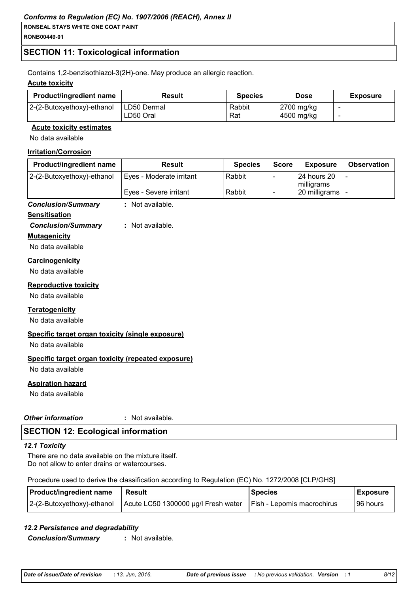RONB00449-01

# **SECTION 11: Toxicological information**

Contains 1,2-benzisothiazol-3(2H)-one. May produce an allergic reaction.

### **Acute toxicity**

| <b>Product/ingredient name</b> | Result                   | <b>Species</b> | Dose                     | <b>Exposure</b> |
|--------------------------------|--------------------------|----------------|--------------------------|-----------------|
| 2-(2-Butoxyethoxy)-ethanol     | LD50 Dermal<br>LD50 Oral | Rabbit<br>Rat  | 2700 mg/kg<br>4500 mg/kg |                 |

### **Acute toxicity estimates**

No data available

### **Irritation/Corrosion**

| Product/ingredient name                            | <b>Result</b>            | <b>Species</b> | <b>Score</b>             | <b>Exposure</b>             | <b>Observation</b> |
|----------------------------------------------------|--------------------------|----------------|--------------------------|-----------------------------|--------------------|
| 2-(2-Butoxyethoxy)-ethanol                         | Eyes - Moderate irritant | Rabbit         | $\overline{\phantom{a}}$ | 24 hours 20                 |                    |
|                                                    | Eyes - Severe irritant   | Rabbit         | $\overline{\phantom{a}}$ | milligrams<br>20 milligrams |                    |
| <b>Conclusion/Summary</b>                          | : Not available.         |                |                          |                             |                    |
| <b>Sensitisation</b>                               |                          |                |                          |                             |                    |
| <b>Conclusion/Summary</b>                          | : Not available.         |                |                          |                             |                    |
| <b>Mutagenicity</b>                                |                          |                |                          |                             |                    |
| No data available                                  |                          |                |                          |                             |                    |
| Carcinogenicity                                    |                          |                |                          |                             |                    |
| No data available                                  |                          |                |                          |                             |                    |
| <b>Reproductive toxicity</b>                       |                          |                |                          |                             |                    |
| No data available                                  |                          |                |                          |                             |                    |
| <b>Teratogenicity</b>                              |                          |                |                          |                             |                    |
| No data available                                  |                          |                |                          |                             |                    |
| Specific target organ toxicity (single exposure)   |                          |                |                          |                             |                    |
| No data available                                  |                          |                |                          |                             |                    |
| Specific target organ toxicity (repeated exposure) |                          |                |                          |                             |                    |
| No data available                                  |                          |                |                          |                             |                    |
| <b>Aspiration hazard</b>                           |                          |                |                          |                             |                    |
| No data available                                  |                          |                |                          |                             |                    |
| <b>Other information</b>                           | : Not available.         |                |                          |                             |                    |

# **SECTION 12: Ecological information**

### 12.1 Toxicity

There are no data available on the mixture itself. Do not allow to enter drains or watercourses.

### Procedure used to derive the classification according to Regulation (EC) No. 1272/2008 [CLP/GHS]

| <b>Product/ingredient name</b> | Result                                                           | <b>Species</b> | <b>Exposure</b> |
|--------------------------------|------------------------------------------------------------------|----------------|-----------------|
| 2-(2-Butoxyethoxy)-ethanol     | Acute LC50 1300000 µg/l Fresh water   Fish - Lepomis macrochirus |                | 96 hours        |

## 12.2 Persistence and degradability

**Conclusion/Summary** : Not available.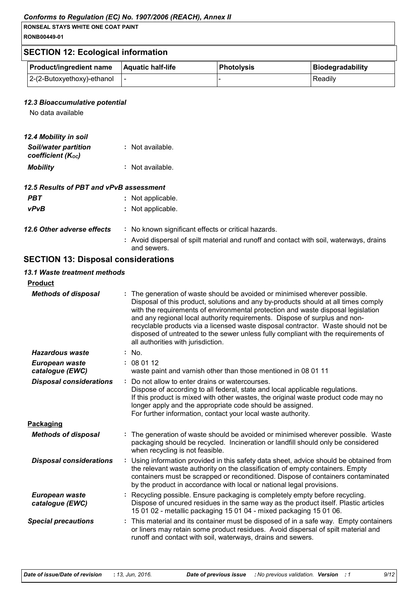### Conforms to Regulation (EC) No. 1907/2006 (REACH), Annex II

| <b>RONSEAL STAYS WHITE ONE COAT PAINT</b> |
|-------------------------------------------|
| RONB00449-01                              |

# **SECTION 12: Ecological information**

| <b>Product/ingredient name</b> | <b>Aquatic half-life</b> | l Photolvsis | Biodegradability |
|--------------------------------|--------------------------|--------------|------------------|
| 2-(2-Butoxyethoxy)-ethanol     |                          |              | Readily          |

### 12.3 Bioaccumulative potential

No data available

| 12.4 Mobility in soil                            |                  |
|--------------------------------------------------|------------------|
| <b>Soil/water partition</b><br>coefficient (Koc) | : Not available. |
| <b>Mobility</b>                                  | : Not available. |

### 12.5 Results of PBT and vPvB assessment

| PBT                        | : Not applicable.  |
|----------------------------|--------------------|
| <b>vPvB</b>                | : Not applicable.  |
| 12.6 Other adverse effects | : No known sianifi |

: No known significant effects or critical hazards.

: Avoid dispersal of spilt material and runoff and contact with soil, waterways, drains and sewers.

# **SECTION 13: Disposal considerations**

### 13.1 Waste treatment methods

| <b>Product</b>                    |                                                                                                                                                                                                                                                                                                                                                                                                                                                                                                                                                      |
|-----------------------------------|------------------------------------------------------------------------------------------------------------------------------------------------------------------------------------------------------------------------------------------------------------------------------------------------------------------------------------------------------------------------------------------------------------------------------------------------------------------------------------------------------------------------------------------------------|
| <b>Methods of disposal</b>        | : The generation of waste should be avoided or minimised wherever possible.<br>Disposal of this product, solutions and any by-products should at all times comply<br>with the requirements of environmental protection and waste disposal legislation<br>and any regional local authority requirements. Dispose of surplus and non-<br>recyclable products via a licensed waste disposal contractor. Waste should not be<br>disposed of untreated to the sewer unless fully compliant with the requirements of<br>all authorities with jurisdiction. |
| Hazardous waste                   | $:$ No.                                                                                                                                                                                                                                                                                                                                                                                                                                                                                                                                              |
| European waste<br>catalogue (EWC) | : 080112<br>waste paint and varnish other than those mentioned in 08 01 11                                                                                                                                                                                                                                                                                                                                                                                                                                                                           |
| <b>Disposal considerations</b>    | : Do not allow to enter drains or watercourses.<br>Dispose of according to all federal, state and local applicable regulations.<br>If this product is mixed with other wastes, the original waste product code may no<br>longer apply and the appropriate code should be assigned.<br>For further information, contact your local waste authority.                                                                                                                                                                                                   |
| Packaging                         |                                                                                                                                                                                                                                                                                                                                                                                                                                                                                                                                                      |
| <b>Methods of disposal</b>        | : The generation of waste should be avoided or minimised wherever possible. Waste<br>packaging should be recycled. Incineration or landfill should only be considered<br>when recycling is not feasible.                                                                                                                                                                                                                                                                                                                                             |
| <b>Disposal considerations</b>    | : Using information provided in this safety data sheet, advice should be obtained from<br>the relevant waste authority on the classification of empty containers. Empty<br>containers must be scrapped or reconditioned. Dispose of containers contaminated<br>by the product in accordance with local or national legal provisions.                                                                                                                                                                                                                 |
| European waste<br>catalogue (EWC) | : Recycling possible. Ensure packaging is completely empty before recycling.<br>Dispose of uncured residues in the same way as the product itself. Plastic articles<br>15 01 02 - metallic packaging 15 01 04 - mixed packaging 15 01 06.                                                                                                                                                                                                                                                                                                            |
| <b>Special precautions</b>        | : This material and its container must be disposed of in a safe way. Empty containers<br>or liners may retain some product residues. Avoid dispersal of spilt material and<br>runoff and contact with soil, waterways, drains and sewers.                                                                                                                                                                                                                                                                                                            |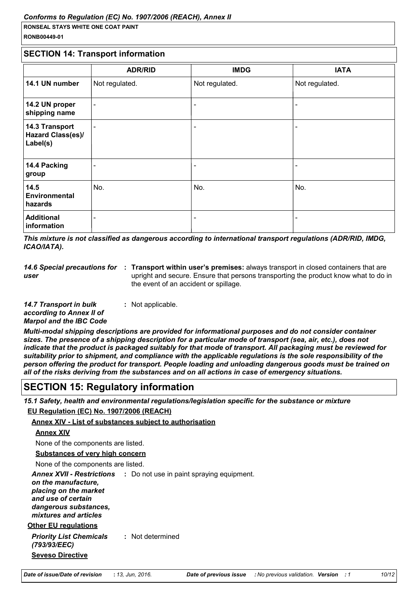### **SECTION 14: Transport information**

|                                                        | <b>ADR/RID</b>           | <b>IMDG</b>              | <b>IATA</b>    |
|--------------------------------------------------------|--------------------------|--------------------------|----------------|
| 14.1 UN number                                         | Not regulated.           | Not regulated.           | Not regulated. |
| 14.2 UN proper<br>shipping name                        | $\overline{\phantom{a}}$ | $\overline{\phantom{a}}$ |                |
| 14.3 Transport<br><b>Hazard Class(es)/</b><br>Label(s) | $\blacksquare$           | $\overline{\phantom{a}}$ |                |
| 14.4 Packing<br>group                                  |                          | $\overline{\phantom{0}}$ |                |
| 14.5<br><b>Environmental</b><br>hazards                | No.                      | No.                      | No.            |
| <b>Additional</b><br>information                       | -                        | $\overline{\phantom{a}}$ |                |

This mixture is not classified as dangerous according to international transport regulations (ADR/RID, IMDG, ICAO/IATA).

**USP** 

14.6 Special precautions for : Transport within user's premises: always transport in closed containers that are upright and secure. Ensure that persons transporting the product know what to do in the event of an accident or spillage.

14.7 Transport in bulk : Not applicable. according to Annex II of Marpol and the IBC Code

Multi-modal shipping descriptions are provided for informational purposes and do not consider container sizes. The presence of a shipping description for a particular mode of transport (sea, air, etc.), does not indicate that the product is packaged suitably for that mode of transport. All packaging must be reviewed for suitability prior to shipment, and compliance with the applicable regulations is the sole responsibility of the person offering the product for transport. People loading and unloading dangerous goods must be trained on all of the risks deriving from the substances and on all actions in case of emergency situations.

# **SECTION 15: Regulatory information**

15.1 Safety, health and environmental regulations/legislation specific for the substance or mixture

# EU Regulation (EC) No. 1907/2006 (REACH)

### **Annex XIV - List of substances subject to authorisation**

```
Annex XIV
```
None of the components are listed.

**Substances of very high concern** 

None of the components are listed.

**Annex XVII - Restrictions** : Do not use in paint spraying equipment. on the manufacture. placing on the market and use of certain dangerous substances. mixtures and articles **Other EU regulations** 

**Priority List Chemicals** : Not determined (793/93/EEC) **Seveso Directive**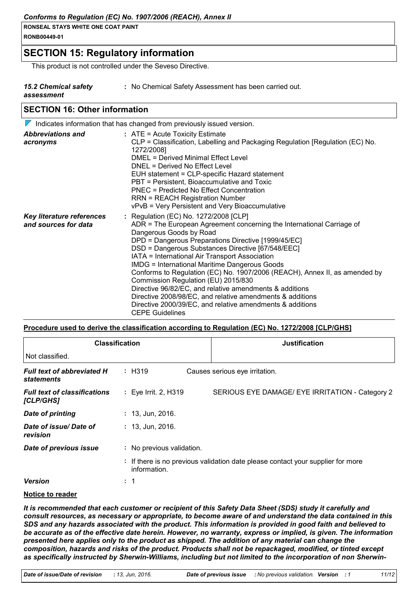# **SECTION 15: Regulatory information**

This product is not controlled under the Seveso Directive.

| 15.2 Chemical safety |  |
|----------------------|--|
| assessment           |  |

- : No Chemical Safety Assessment has been carried out.
- essment
- 

# **SECTION 16: Other information**

|                                                   | $\nabla$ Indicates information that has changed from previously issued version.                                                                                                                                                                                                                                                                                                                                                                                                                                                                                                                                                                                                                     |
|---------------------------------------------------|-----------------------------------------------------------------------------------------------------------------------------------------------------------------------------------------------------------------------------------------------------------------------------------------------------------------------------------------------------------------------------------------------------------------------------------------------------------------------------------------------------------------------------------------------------------------------------------------------------------------------------------------------------------------------------------------------------|
| <b>Abbreviations and</b><br>acronyms              | $:$ ATE = Acute Toxicity Estimate<br>CLP = Classification, Labelling and Packaging Regulation [Regulation (EC) No.<br>1272/2008]<br><b>DMEL = Derived Minimal Effect Level</b><br>DNEL = Derived No Effect Level<br>EUH statement = CLP-specific Hazard statement<br>PBT = Persistent, Bioaccumulative and Toxic<br><b>PNEC = Predicted No Effect Concentration</b><br><b>RRN = REACH Registration Number</b><br>vPvB = Very Persistent and Very Bioaccumulative                                                                                                                                                                                                                                    |
| Key literature references<br>and sources for data | : Regulation (EC) No. 1272/2008 [CLP]<br>ADR = The European Agreement concerning the International Carriage of<br>Dangerous Goods by Road<br>DPD = Dangerous Preparations Directive [1999/45/EC]<br>DSD = Dangerous Substances Directive [67/548/EEC]<br>IATA = International Air Transport Association<br><b>IMDG = International Maritime Dangerous Goods</b><br>Conforms to Regulation (EC) No. 1907/2006 (REACH), Annex II, as amended by<br>Commission Regulation (EU) 2015/830<br>Directive 96/82/EC, and relative amendments & additions<br>Directive 2008/98/EC, and relative amendments & additions<br>Directive 2000/39/EC, and relative amendments & additions<br><b>CEPE Guidelines</b> |

### Procedure used to derive the classification according to Regulation (EC) No. 1272/2008 [CLP/GHS]

| <b>Classification</b>                                  |                                                                                                 | <b>Justification</b>                            |  |  |
|--------------------------------------------------------|-------------------------------------------------------------------------------------------------|-------------------------------------------------|--|--|
| Not classified.                                        |                                                                                                 |                                                 |  |  |
| <b>Full text of abbreviated H</b><br><b>statements</b> | : H319                                                                                          | Causes serious eye irritation.                  |  |  |
| <b>Full text of classifications</b><br>[CLP/GHS]       | : Eye Irrit. 2, H319                                                                            | SERIOUS EYE DAMAGE/ EYE IRRITATION - Category 2 |  |  |
| <b>Date of printing</b>                                | $: 13,$ Jun, 2016.                                                                              |                                                 |  |  |
| Date of issue/Date of<br>revision                      | $: 13,$ Jun, 2016.                                                                              |                                                 |  |  |
| Date of previous issue                                 | : No previous validation.                                                                       |                                                 |  |  |
|                                                        | : If there is no previous validation date please contact your supplier for more<br>information. |                                                 |  |  |
| <b>Version</b>                                         | : 1                                                                                             |                                                 |  |  |

### Notice to reader

It is recommended that each customer or recipient of this Safety Data Sheet (SDS) study it carefully and consult resources, as necessary or appropriate, to become aware of and understand the data contained in this SDS and any hazards associated with the product. This information is provided in good faith and believed to be accurate as of the effective date herein. However, no warranty, express or implied, is given. The information presented here applies only to the product as shipped. The addition of any material can change the composition, hazards and risks of the product. Products shall not be repackaged, modified, or tinted except as specifically instructed by Sherwin-Williams, including but not limited to the incorporation of non Sherwin-

 $11/12$